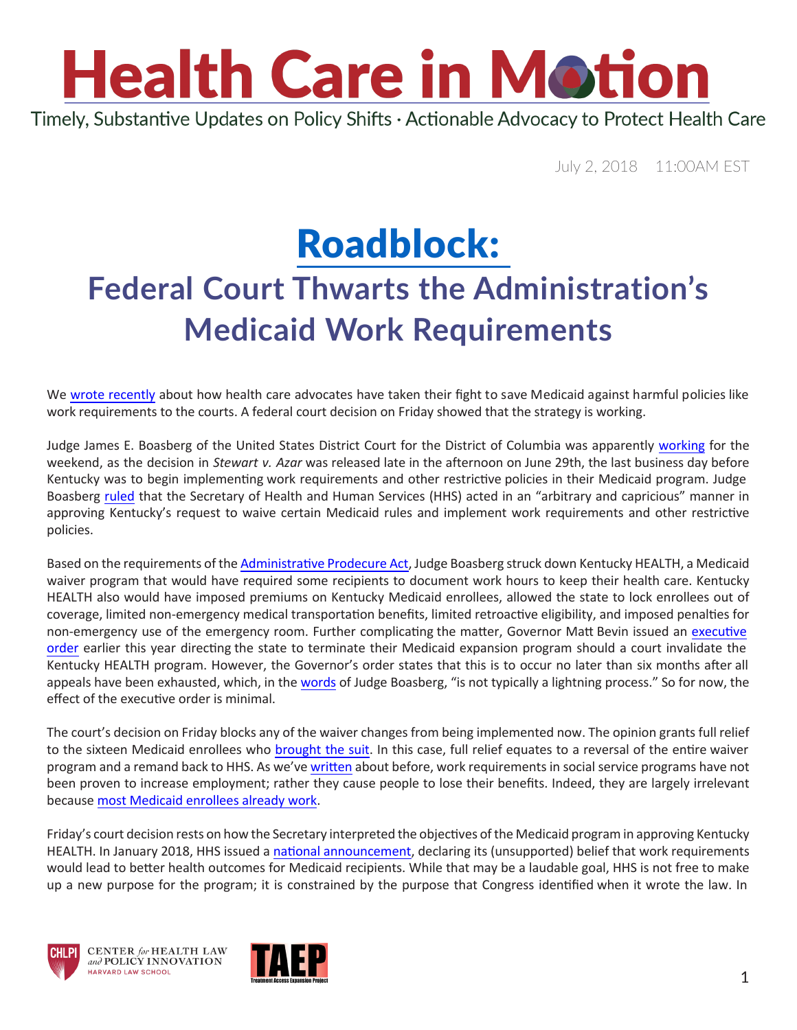## **Health Care in Motion** Timely, Substantive Updates on Policy Shifts · Actionable Advocacy to Protect Health Care

July 2, 2018 11:00AM EST

## [Roadblock](https://www.youtube.com/watch?v=UF28Z_lr3t4): **Federal Court Thwarts the Administration's Medicaid Work Requirements**

We [wrote recently](https://www.chlpi.org/wp-content/uploads/2013/12/HCIM_06_19_2018.pdf) about how health care advocates have taken their fight to save Medicaid against harmful policies like work requirements to the courts. A federal court decision on Friday showed that the strategy is working.

Judge James E. Boasberg of the United States District Court for the District of Columbia was apparently [working](https://www.youtube.com/watch?v=ahvSgFHzJIc) for the weekend, as the decision in *Stewart v. Azar* was released late in the afternoon on June 29th, the last business day before Kentucky was to begin implementing work requirements and other restrictive policies in their Medicaid program. Judge Boasberg [ruled](https://ecf.dcd.uscourts.gov/cgi-bin/show_public_doc?2018cv0152-74) that the Secretary of Health and Human Services (HHS) acted in an "arbitrary and capricious" manner in approving Kentucky's request to waive certain Medicaid rules and implement work requirements and other restrictive policies.

Based on the requirements of the [Administrative Prodecure Act,](https://www.epa.gov/laws-regulations/summary-administrative-procedure-act) Judge Boasberg struck down Kentucky HEALTH, a Medicaid waiver program that would have required some recipients to document work hours to keep their health care. Kentucky HEALTH also would have imposed premiums on Kentucky Medicaid enrollees, allowed the state to lock enrollees out of coverage, limited non-emergency medical transportation benefits, limited retroactive eligibility, and imposed penalties for non-emergency use of the emergency room. Further complicating the matter, Governor Matt Bevin issued an [executive](http://apps.sos.ky.gov/Executive/Journal/execjournalimages/2018-MISC-2018-0040-253682.pdf)  [order](http://apps.sos.ky.gov/Executive/Journal/execjournalimages/2018-MISC-2018-0040-253682.pdf) earlier this year directing the state to terminate their Medicaid expansion program should a court invalidate the Kentucky HEALTH program. However, the Governor's order states that this is to occur no later than six months after all appeals have been exhausted, which, in the [words](https://ecf.dcd.uscourts.gov/cgi-bin/show_public_doc?2018cv0152-74#page=20) of Judge Boasberg, "is not typically a lightning process." So for now, the effect of the executive order is minimal.

The court's decision on Friday blocks any of the waiver changes from being implemented now. The opinion grants full relief to the sixteen Medicaid enrollees who [brought](http://www.healthlaw.org/news/press-releases/698-kentuckians-sue-trump-over-radical-changes-to-medicaid) the suit. In this case, full relief equates to a reversal of the entire waiver program and a remand back to HHS. As we've [written](https://www.chlpi.org/wp-content/uploads/2013/12/HCIM_05_07_2018.pdf) about before, work requirements in social service programs have not been proven to increase employment; rather they cause people to lose their benefits. Indeed, they are largely irrelevant because [most Medicaid enrollees already work.](https://www.kff.org/medicaid/issue-brief/implications-of-work-requirements-in-medicaid-what-does-the-data-say/?utm_campaign=KFF-2018-June-Medicaid-Work-Requirements&utm_source=hs_email&utm_medium=email&utm_content=63694330&_hsenc=p2ANqtz-9lgEodJ3g5ASV4AWmNokGoS33rpttjoykgoeHoqFKX6S4mIN0rp9ivgx1WYHHhGdcnmz4TvDDYpuuNjX2I15mCRu-byQ&_hsmi=63694330)

Friday's court decision rests on how the Secretary interpreted the objectives of the Medicaid program in approving Kentucky HEALTH. In January 2018, HHS issued a [national announcement](https://www.medicaid.gov/federal-policy-guidance/downloads/smd18002.pdf), declaring its (unsupported) belief that work requirements would lead to better health outcomes for Medicaid recipients. While that may be a laudable goal, HHS is not free to make up a new purpose for the program; it is constrained by the purpose that Congress identified when it wrote the law. In